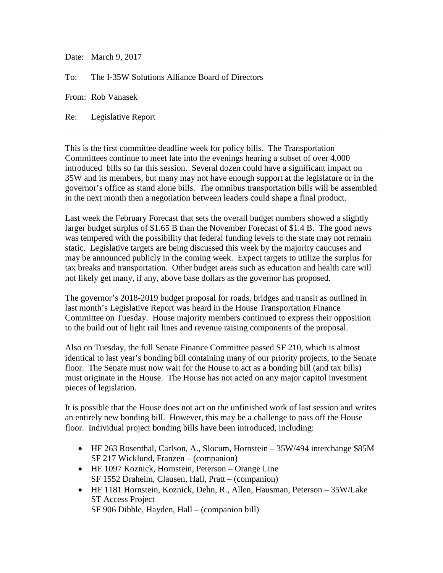Date: March 9, 2017

To: The I-35W Solutions Alliance Board of Directors

From: Rob Vanasek

Re: Legislative Report

This is the first committee deadline week for policy bills. The Transportation Committees continue to meet late into the evenings hearing a subset of over 4,000 introduced bills so far this session. Several dozen could have a significant impact on 35W and its members, but many may not have enough support at the legislature or in the governor's office as stand alone bills. The omnibus transportation bills will be assembled in the next month then a negotiation between leaders could shape a final product.

Last week the February Forecast that sets the overall budget numbers showed a slightly larger budget surplus of \$1.65 B than the November Forecast of \$1.4 B. The good news was tempered with the possibility that federal funding levels to the state may not remain static. Legislative targets are being discussed this week by the majority caucuses and may be announced publicly in the coming week. Expect targets to utilize the surplus for tax breaks and transportation. Other budget areas such as education and health care will not likely get many, if any, above base dollars as the governor has proposed.

The governor's 2018-2019 budget proposal for roads, bridges and transit as outlined in last month's Legislative Report was heard in the House Transportation Finance Committee on Tuesday. House majority members continued to express their opposition to the build out of light rail lines and revenue raising components of the proposal.

Also on Tuesday, the full Senate Finance Committee passed SF 210, which is almost identical to last year's bonding bill containing many of our priority projects, to the Senate floor. The Senate must now wait for the House to act as a bonding bill (and tax bills) must originate in the House. The House has not acted on any major capitol investment pieces of legislation.

It is possible that the House does not act on the unfinished work of last session and writes an entirely new bonding bill. However, this may be a challenge to pass off the House floor. Individual project bonding bills have been introduced, including:

- HF 263 Rosenthal, Carlson, A., Slocum, Hornstein 35W/494 interchange \$85M SF 217 Wicklund, Franzen – (companion)
- HF 1097 Koznick, Hornstein, Peterson Orange Line SF 1552 Draheim, Clausen, Hall, Pratt – (companion)
- HF 1181 Hornstein, Koznick, Dehn, R., Allen, Hausman, Peterson 35W/Lake ST Access Project SF 906 Dibble, Hayden, Hall – (companion bill)